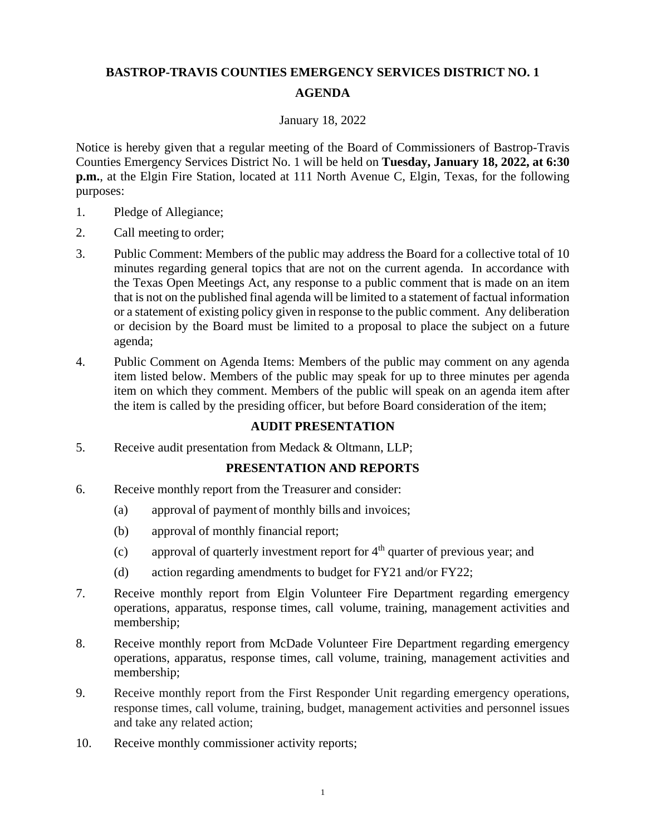# **BASTROP-TRAVIS COUNTIES EMERGENCY SERVICES DISTRICT NO. 1 AGENDA**

#### January 18, 2022

Notice is hereby given that a regular meeting of the Board of Commissioners of Bastrop-Travis Counties Emergency Services District No. 1 will be held on **Tuesday, January 18, 2022, at 6:30 p.m.**, at the Elgin Fire Station, located at 111 North Avenue C, Elgin, Texas, for the following purposes:

- 1. Pledge of Allegiance;
- 2. Call meeting to order;
- 3. Public Comment: Members of the public may address the Board for a collective total of 10 minutes regarding general topics that are not on the current agenda. In accordance with the Texas Open Meetings Act, any response to a public comment that is made on an item that is not on the published final agenda will be limited to a statement of factual information or a statement of existing policy given in response to the public comment. Any deliberation or decision by the Board must be limited to a proposal to place the subject on a future agenda;
- 4. Public Comment on Agenda Items: Members of the public may comment on any agenda item listed below. Members of the public may speak for up to three minutes per agenda item on which they comment. Members of the public will speak on an agenda item after the item is called by the presiding officer, but before Board consideration of the item;

## **AUDIT PRESENTATION**

5. Receive audit presentation from Medack & Oltmann, LLP;

## **PRESENTATION AND REPORTS**

- 6. Receive monthly report from the Treasurer and consider:
	- (a) approval of payment of monthly bills and invoices;
	- (b) approval of monthly financial report;
	- (c) approval of quarterly investment report for  $4<sup>th</sup>$  quarter of previous year; and
	- (d) action regarding amendments to budget for FY21 and/or FY22;
- 7. Receive monthly report from Elgin Volunteer Fire Department regarding emergency operations, apparatus, response times, call volume, training, management activities and membership;
- 8. Receive monthly report from McDade Volunteer Fire Department regarding emergency operations, apparatus, response times, call volume, training, management activities and membership;
- 9. Receive monthly report from the First Responder Unit regarding emergency operations, response times, call volume, training, budget, management activities and personnel issues and take any related action;
- 10. Receive monthly commissioner activity reports;